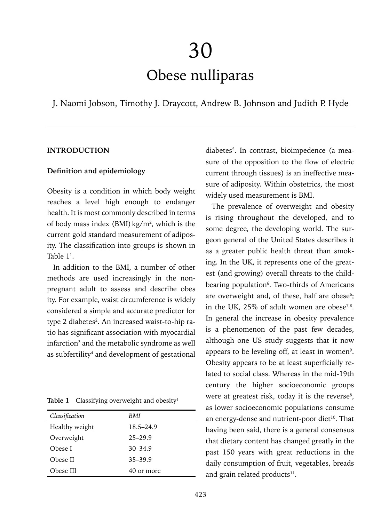# 30 Obese nulliparas

J. Naomi Jobson, Timothy J. Draycott, Andrew B. Johnson and Judith P. Hyde

# **INTRODUCTION**

#### **Definition and epidemiology**

Obesity is a condition in which body weight reaches a level high enough to endanger health. It is most commonly described in terms of body mass index (BMI)  $\text{kg/m}^2$ , which is the current gold standard measurement of adiposity. The classification into groups is shown in Table  $1^{\scriptscriptstyle{1}}$ .

In addition to the BMI, a number of other methods are used increasingly in the nonpregnant adult to assess and describe obes ity. For example, waist circumference is widely considered a simple and accurate predictor for type 2 diabetes<sup>2</sup>. An increased waist-to-hip ratio has significant association with myocardial infarction<sup>3</sup> and the metabolic syndrome as well as subfertility<sup>4</sup> and development of gestational

| Table 1 | Classifying overweight and obesity <sup>1</sup> |  |  |  |
|---------|-------------------------------------------------|--|--|--|
|---------|-------------------------------------------------|--|--|--|

| Classification<br>BMI<br>Healthy weight<br>$18.5 - 24.9$<br>Overweight<br>$25 - 29.9$<br>$30 - 34.9$<br>Obese I<br>$35 - 39.9$<br>Obese II |           |            |  |
|--------------------------------------------------------------------------------------------------------------------------------------------|-----------|------------|--|
|                                                                                                                                            |           |            |  |
|                                                                                                                                            |           |            |  |
|                                                                                                                                            |           |            |  |
|                                                                                                                                            |           |            |  |
|                                                                                                                                            |           |            |  |
|                                                                                                                                            | Obese III | 40 or more |  |

diabetes5 . In contrast, bioimpedence (a measure of the opposition to the flow of electric current through tissues) is an ineffective measure of adiposity. Within obstetrics, the most widely used measurement is BMI.

The prevalence of overweight and obesity is rising throughout the developed, and to some degree, the developing world. The surgeon general of the United States describes it as a greater public health threat than smoking. In the UK, it represents one of the greatest (and growing) overall threats to the childbearing population<sup>6</sup>. Two-thirds of Americans are overweight and, of these, half are obese<sup>6</sup>; in the UK,  $25\%$  of adult women are obese<sup>7,8</sup>. In general the increase in obesity prevalence is a phenomenon of the past few decades, although one US study suggests that it now appears to be leveling off, at least in women<sup>9</sup>. Obesity appears to be at least superficially related to social class. Whereas in the mid-19th century the higher socioeconomic groups were at greatest risk, today it is the reverse<sup>8</sup>, as lower socioeconomic populations consume an energy-dense and nutrient-poor diet<sup>10</sup>. That having been said, there is a general consensus that dietary content has changed greatly in the past 150 years with great reductions in the daily consumption of fruit, vegetables, breads and grain related products<sup>11</sup>.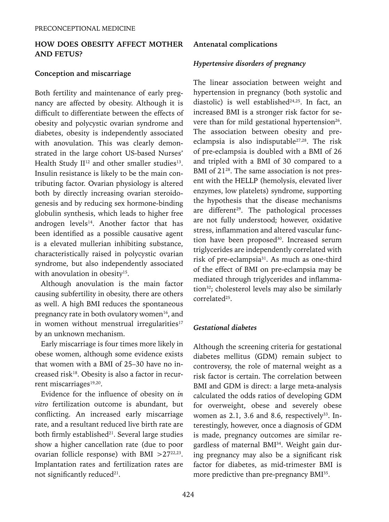# **HOW DOES OBESITY AFFECT MOTHER AND FETUS?**

# **Conception and miscarriage**

Both fertility and maintenance of early pregnancy are affected by obesity. Although it is difficult to differentiate between the effects of obesity and polycystic ovarian syndrome and diabetes, obesity is independently associated with anovulation. This was clearly demonstrated in the large cohort US-based Nurses' Health Study  $II^{12}$  and other smaller studies<sup>13</sup>. Insulin resistance is likely to be the main contributing factor. Ovarian physiology is altered both by directly increasing ovarian steroidogenesis and by reducing sex hormone-binding globulin synthesis, which leads to higher free androgen levels $14$ . Another factor that has been identified as a possible causative agent is a elevated mullerian inhibiting substance, characteristically raised in polycystic ovarian syndrome, but also independently associated with anovulation in obesity<sup>15</sup>.

Although anovulation is the main factor causing subfertility in obesity, there are others as well. A high BMI reduces the spontaneous pregnancy rate in both ovulatory women<sup>16</sup>, and in women without menstrual irregularities $17$ by an unknown mechanism.

Early miscarriage is four times more likely in obese women, although some evidence exists that women with a BMI of 25–30 have no increased risk<sup>18</sup>. Obesity is also a factor in recurrent miscarriages<sup>19,20</sup>.

Evidence for the influence of obesity on *in vitro* fertilization outcome is abundant, but conflicting. An increased early miscarriage rate, and a resultant reduced live birth rate are both firmly established<sup>21</sup>. Several large studies show a higher cancellation rate (due to poor ovarian follicle response) with BMI  $>27^{22,23}$ . Implantation rates and fertilization rates are not significantly reduced $21$ .

## **Antenatal complications**

# *Hypertensive disorders of pregnancy*

The linear association between weight and hypertension in pregnancy (both systolic and diastolic) is well established $24,25$ . In fact, an increased BMI is a stronger risk factor for severe than for mild gestational hypertension<sup>26</sup>. The association between obesity and preeclampsia is also indisputable<sup>27,28</sup>. The risk of pre-eclampsia is doubled with a BMI of 26 and tripled with a BMI of 30 compared to a BMI of 21<sup>28</sup>. The same association is not present with the HELLP (hemolysis, elevated liver enzymes, low platelets) syndrome, supporting the hypothesis that the disease mechanisms are different<sup>29</sup>. The pathological processes are not fully understood; however, oxidative stress, inflammation and altered vascular function have been proposed<sup>30</sup>. Increased serum triglycerides are independently correlated with risk of pre-eclampsia31. As much as one-third of the effect of BMI on pre-eclampsia may be mediated through triglycerides and inflammation<sup>32</sup>; cholesterol levels may also be similarly correlated<sup>25</sup>.

## *Gestational diabetes*

Although the screening criteria for gestational diabetes mellitus (GDM) remain subject to controversy, the role of maternal weight as a risk factor is certain. The correlation between BMI and GDM is direct: a large meta-analysis calculated the odds ratios of developing GDM for overweight, obese and severely obese women as 2.1, 3.6 and 8.6, respectively $33$ . Interestingly, however, once a diagnosis of GDM is made, pregnancy outcomes are similar regardless of maternal BMI34. Weight gain during pregnancy may also be a significant risk factor for diabetes, as mid-trimester BMI is more predictive than pre-pregnancy BMI<sup>35</sup>.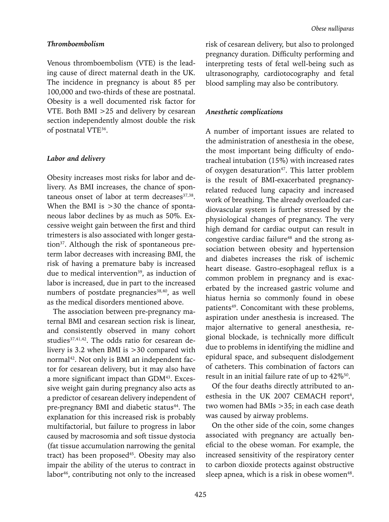## *Thromboembolism*

Venous thromboembolism (VTE) is the leading cause of direct maternal death in the UK. The incidence in pregnancy is about 85 per 100,000 and two-thirds of these are postnatal. Obesity is a well documented risk factor for VTE. Both BMI >25 and delivery by cesarean section independently almost double the risk of postnatal VTE36.

#### *Labor and delivery*

Obesity increases most risks for labor and delivery. As BMI increases, the chance of spontaneous onset of labor at term decreases<sup>37,38</sup>. When the BMI is  $>30$  the chance of spontaneous labor declines by as much as 50%. Excessive weight gain between the first and third trimesters is also associated with longer gestation37. Although the risk of spontaneous preterm labor decreases with increasing BMI, the risk of having a premature baby is increased due to medical intervention<sup>39</sup>, as induction of labor is increased, due in part to the increased numbers of postdate pregnancies<sup>38,40</sup>, as well as the medical disorders mentioned above.

The association between pre-pregnancy maternal BMI and cesarean section risk is linear, and consistently observed in many cohort studies<sup>37,41,42</sup>. The odds ratio for cesarean delivery is 3.2 when BMI is >30 compared with normal<sup>42</sup>. Not only is BMI an independent factor for cesarean delivery, but it may also have a more significant impact than GDM43. Excessive weight gain during pregnancy also acts as a predictor of cesarean delivery independent of pre-pregnancy BMI and diabetic status<sup>44</sup>. The explanation for this increased risk is probably multifactorial, but failure to progress in labor caused by macrosomia and soft tissue dystocia (fat tissue accumulation narrowing the genital tract) has been proposed<sup>45</sup>. Obesity may also impair the ability of the uterus to contract in labor<sup>46</sup>, contributing not only to the increased risk of cesarean delivery, but also to prolonged pregnancy duration. Difficulty performing and interpreting tests of fetal well-being such as ultrasonography, cardiotocography and fetal blood sampling may also be contributory.

## *Anesthetic complications*

A number of important issues are related to the administration of anesthesia in the obese, the most important being difficulty of endotracheal intubation (15%) with increased rates of oxygen desaturation<sup>47</sup>. This latter problem is the result of BMI-exacerbated pregnancyrelated reduced lung capacity and increased work of breathing. The already overloaded cardiovascular system is further stressed by the physiological changes of pregnancy. The very high demand for cardiac output can result in congestive cardiac failure<sup>48</sup> and the strong association between obesity and hypertension and diabetes increases the risk of ischemic heart disease. Gastro-esophageal reflux is a common problem in pregnancy and is exacerbated by the increased gastric volume and hiatus hernia so commonly found in obese patients<sup>49</sup>. Concomitant with these problems, aspiration under anesthesia is increased. The major alternative to general anesthesia, regional blockade, is technically more difficult due to problems in identifying the midline and epidural space, and subsequent dislodgement of catheters. This combination of factors can result in an initial failure rate of up to  $42\%$ <sup>50</sup>.

Of the four deaths directly attributed to anesthesia in the UK 2007 CEMACH report $6$ , two women had BMIs >35; in each case death was caused by airway problems.

On the other side of the coin, some changes associated with pregnancy are actually beneficial to the obese woman. For example, the increased sensitivity of the respiratory center to carbon dioxide protects against obstructive sleep apnea, which is a risk in obese women<sup>48</sup>.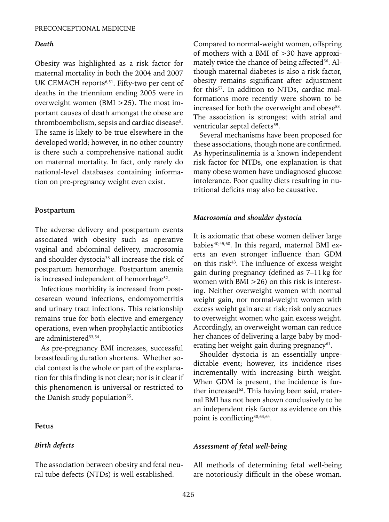#### *Death*

Obesity was highlighted as a risk factor for maternal mortality in both the 2004 and 2007 UK CEMACH reports<sup>6,51</sup>. Fifty-two per cent of deaths in the triennium ending 2005 were in overweight women (BMI >25). The most important causes of death amongst the obese are thromboembolism, sepsis and cardiac disease<sup>6</sup>. The same is likely to be true elsewhere in the developed world; however, in no other country is there such a comprehensive national audit on maternal mortality. In fact, only rarely do national-level databases containing information on pre-pregnancy weight even exist.

#### **Postpartum**

The adverse delivery and postpartum events associated with obesity such as operative vaginal and abdominal delivery, macrosomia and shoulder dystocia<sup>38</sup> all increase the risk of postpartum hemorrhage. Postpartum anemia is increased independent of hemorrhage<sup>52</sup>.

Infectious morbidity is increased from postcesarean wound infections, endomyometritis and urinary tract infections. This relationship remains true for both elective and emergency operations, even when prophylactic antibiotics are administered<sup>53,54</sup>.

As pre-pregnancy BMI increases, successful breastfeeding duration shortens. Whether social context is the whole or part of the explanation for this finding is not clear; nor is it clear if this phenomenon is universal or restricted to the Danish study population<sup>55</sup>.

#### **Fetus**

## *Birth defects*

The association between obesity and fetal neural tube defects (NTDs) is well established.

Compared to normal-weight women, offspring of mothers with a BMI of >30 have approximately twice the chance of being affected<sup>56</sup>. Although maternal diabetes is also a risk factor, obesity remains significant after adjustment for this<sup>57</sup>. In addition to NTDs, cardiac malformations more recently were shown to be increased for both the overweight and obese<sup>58</sup>. The association is strongest with atrial and ventricular septal defects<sup>59</sup>.

Several mechanisms have been proposed for these associations, though none are confirmed. As hyperinsulinemia is a known independent risk factor for NTDs, one explanation is that many obese women have undiagnosed glucose intolerance. Poor quality diets resulting in nutritional deficits may also be causative.

#### *Macrosomia and shoulder dystocia*

It is axiomatic that obese women deliver large babies<sup>40,45,60</sup>. In this regard, maternal BMI exerts an even stronger influence than GDM on this risk $43$ . The influence of excess weight gain during pregnancy (defined as 7–11kg for women with BMI >26) on this risk is interesting. Neither overweight women with normal weight gain, nor normal-weight women with excess weight gain are at risk; risk only accrues to overweight women who gain excess weight. Accordingly, an overweight woman can reduce her chances of delivering a large baby by moderating her weight gain during pregnancy<sup>61</sup>.

Shoulder dystocia is an essentially unpredictable event; however, its incidence rises incrementally with increasing birth weight. When GDM is present, the incidence is further increased<sup>62</sup>. This having been said, maternal BMI has not been shown conclusively to be an independent risk factor as evidence on this point is conflicting<sup>38,63,64</sup>.

#### *Assessment of fetal well-being*

All methods of determining fetal well-being are notoriously difficult in the obese woman.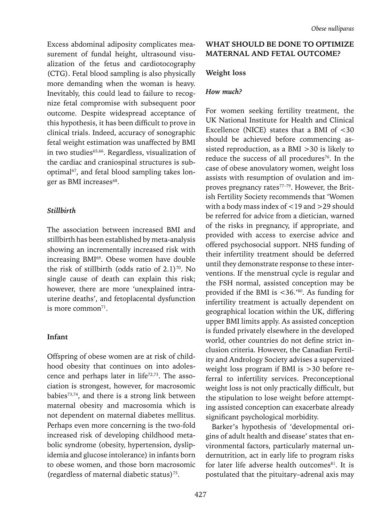Excess abdominal adiposity complicates measurement of fundal height, ultrasound visualization of the fetus and cardiotocography (CTG). Fetal blood sampling is also physically more demanding when the woman is heavy. Inevitably, this could lead to failure to recognize fetal compromise with subsequent poor outcome. Despite widespread acceptance of this hypothesis, it has been difficult to prove in clinical trials. Indeed, accuracy of sonographic fetal weight estimation was unaffected by BMI in two studies<sup>65,66</sup>. Regardless, visualization of the cardiac and craniospinal structures is suboptimal<sup>67</sup>, and fetal blood sampling takes longer as BMI increases<sup>68</sup>.

#### *Stillbirth*

The association between increased BMI and stillbirth has been established by meta-analysis showing an incrementally increased risk with increasing BMI<sup>69</sup>. Obese women have double the risk of stillbirth (odds ratio of  $2.1$ )<sup>70</sup>. No single cause of death can explain this risk; however, there are more 'unexplained intrauterine deaths', and fetoplacental dysfunction is more common $71$ .

## **Infant**

Offspring of obese women are at risk of childhood obesity that continues on into adolescence and perhaps later in life<sup>72,73</sup>. The association is strongest, however, for macrosomic babies73,74, and there is a strong link between maternal obesity and macrosomia which is not dependent on maternal diabetes mellitus. Perhaps even more concerning is the two-fold increased risk of developing childhood metabolic syndrome (obesity, hypertension, dyslipidemia and glucose intolerance) in infants born to obese women, and those born macrosomic (regardless of maternal diabetic status)<sup>75</sup>.

# **WHAT SHOULD BE DONE TO OPTIMIZE MATERNAL AND FETAL OUTCOME?**

#### **Weight loss**

#### *How much?*

For women seeking fertility treatment, the UK National Institute for Health and Clinical Excellence (NICE) states that a BMI of <30 should be achieved before commencing assisted reproduction, as a BMI >30 is likely to reduce the success of all procedures<sup>76</sup>. In the case of obese anovulatory women, weight loss assists with resumption of ovulation and improves pregnancy rates<sup>77-79</sup>. However, the British Fertility Society recommends that 'Women with a body mass index of <19 and >29 should be referred for advice from a dietician, warned of the risks in pregnancy, if appropriate, and provided with access to exercise advice and offered psychosocial support. NHS funding of their infertility treatment should be deferred until they demonstrate response to these interventions. If the menstrual cycle is regular and the FSH normal, assisted conception may be provided if the BMI is <36.'80. As funding for infertility treatment is actually dependent on geographical location within the UK, differing upper BMI limits apply. As assisted conception is funded privately elsewhere in the developed world, other countries do not define strict inclusion criteria. However, the Canadian Fertility and Andrology Society advises a supervized weight loss program if BMI is >30 before referral to infertility services. Preconceptional weight loss is not only practically difficult, but the stipulation to lose weight before attempting assisted conception can exacerbate already significant psychological morbidity.

Barker's hypothesis of 'developmental origins of adult health and disease' states that environmental factors, particularly maternal undernutrition, act in early life to program risks for later life adverse health outcomes81. It is postulated that the pituitary–adrenal axis may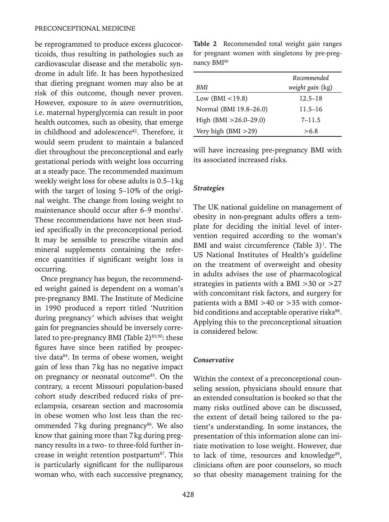be reprogrammed to produce excess glucocorticoids, thus resulting in pathologies such as cardiovascular disease and the metabolic syndrome in adult life. It has been hypothesized that dieting pregnant women may also be at risk of this outcome, though never proven. However, exposure to *in utero* overnutrition, i.e. maternal hyperglycemia can result in poor health outcomes, such as obesity, that emerge in childhood and adolescence<sup>82</sup>. Therefore, it would seem prudent to maintain a balanced diet throughout the preconceptional and early gestational periods with weight loss occurring at a steady pace. The recommended maximum weekly weight loss for obese adults is 0.5–1kg with the target of losing 5–10% of the original weight. The change from losing weight to maintenance should occur after 6–9 months<sup>1</sup>. These recommendations have not been studied specifically in the preconceptional period. It may be sensible to prescribe vitamin and mineral supplements containing the reference quantities if significant weight loss is occurring.

Once pregnancy has begun, the recommended weight gained is dependent on a woman's pre-pregnancy BMI. The Institute of Medicine in 1990 produced a report titled 'Nutrition during pregnancy' which advises that weight gain for pregnancies should be inversely correlated to pre-pregnancy BMI (Table  $2)^{83,90}$ : these figures have since been ratified by prospective data84. In terms of obese women, weight gain of less than 7kg has no negative impact on pregnancy or neonatal outcome<sup>85</sup>. On the contrary, a recent Missouri population-based cohort study described reduced risks of preeclampsia, cesarean section and macrosomia in obese women who lost less than the recommended 7kg during pregnancy<sup>86</sup>. We also know that gaining more than 7kg during pregnancy results in a two- to three-fold further increase in weight retention postpartum<sup>87</sup>. This is particularly significant for the nulliparous woman who, with each successive pregnancy,

**Table 2** Recommended total weight gain ranges for pregnant women with singletons by pre-pregnancy BMI90

|                            | Recommended      |  |
|----------------------------|------------------|--|
| BMI                        | weight gain (kg) |  |
| Low $(BMI < 19.8)$         | $12.5 - 18$      |  |
| Normal (BMI 19.8-26.0)     | $11.5 - 16$      |  |
| High $(BMI > 26.0 - 29.0)$ | $7 - 11.5$       |  |
| Very high $(BMI > 29)$     | >6.8             |  |

will have increasing pre-pregnancy BMI with its associated increased risks.

#### *Strategies*

The UK national guideline on management of obesity in non-pregnant adults offers a template for deciding the initial level of intervention required according to the woman's BMI and waist circumference (Table  $3$ )<sup>1</sup>. The US National Institutes of Health's guideline on the treatment of overweight and obesity in adults advises the use of pharmacological strategies in patients with a BMI >30 or >27 with concomitant risk factors, and surgery for patients with a BMI >40 or >35 with comorbid conditions and acceptable operative risks<sup>88</sup>. Applying this to the preconceptional situation is considered below.

#### *Conservative*

Within the context of a preconceptional counseling session, physicians should ensure that an extended consultation is booked so that the many risks outlined above can be discussed, the extent of detail being tailored to the patient's understanding. In some instances, the presentation of this information alone can initiate motivation to lose weight. However, due to lack of time, resources and knowledge<sup>89</sup>. clinicians often are poor counselors, so much so that obesity management training for the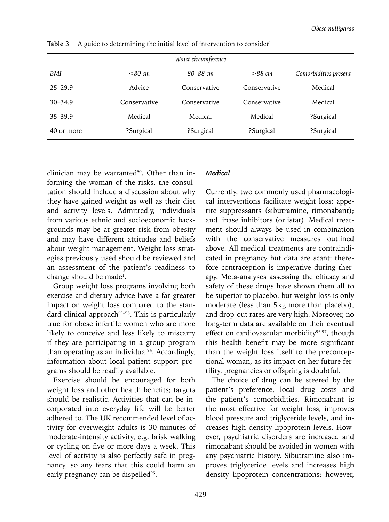| Waist circumference |              |              |              |                       |
|---------------------|--------------|--------------|--------------|-----------------------|
| BMI                 | $<80$ cm     | 80–88 cm     | $>88$ cm     | Comorbidities present |
| $25 - 29.9$         | Advice       | Conservative | Conservative | Medical               |
| $30 - 34.9$         | Conservative | Conservative | Conservative | Medical               |
| $35 - 39.9$         | Medical      | Medical      | Medical      | ?Surgical             |
| 40 or more          | ?Surgical    | ?Surgical    | ?Surgical    | ?Surgical             |

**Table 3** A guide to determining the initial level of intervention to consider<sup>1</sup>

clinician may be warranted<sup>90</sup>. Other than informing the woman of the risks, the consultation should include a discussion about why they have gained weight as well as their diet and activity levels. Admittedly, individuals from various ethnic and socioeconomic backgrounds may be at greater risk from obesity and may have different attitudes and beliefs about weight management. Weight loss strategies previously used should be reviewed and an assessment of the patient's readiness to change should be made<sup>1</sup>.

Group weight loss programs involving both exercise and dietary advice have a far greater impact on weight loss compared to the standard clinical approach $91-93$ . This is particularly true for obese infertile women who are more likely to conceive and less likely to miscarry if they are participating in a group program than operating as an individual<sup>94</sup>. Accordingly, information about local patient support programs should be readily available.

Exercise should be encouraged for both weight loss and other health benefits; targets should be realistic. Activities that can be incorporated into everyday life will be better adhered to. The UK recommended level of activity for overweight adults is 30 minutes of moderate-intensity activity, e.g. brisk walking or cycling on five or more days a week. This level of activity is also perfectly safe in pregnancy, so any fears that this could harm an early pregnancy can be dispelled<sup>95</sup>.

## *Medical*

Currently, two commonly used pharmacological interventions facilitate weight loss: appetite suppressants (sibutramine, rimonabant); and lipase inhibitors (orlistat). Medical treatment should always be used in combination with the conservative measures outlined above. All medical treatments are contraindicated in pregnancy but data are scant; therefore contraception is imperative during therapy. Meta-analyses assessing the efficacy and safety of these drugs have shown them all to be superior to placebo, but weight loss is only moderate (less than 5kg more than placebo), and drop-out rates are very high. Moreover, no long-term data are available on their eventual effect on cardiovascular morbidity<sup>96,97</sup>, though this health benefit may be more significant than the weight loss itself to the preconceptional woman, as its impact on her future fertility, pregnancies or offspring is doubtful.

The choice of drug can be steered by the patient's preference, local drug costs and the patient's comorbidities. Rimonabant is the most effective for weight loss, improves blood pressure and triglyceride levels, and increases high density lipoprotein levels. However, psychiatric disorders are increased and rimonabant should be avoided in women with any psychiatric history. Sibutramine also improves triglyceride levels and increases high density lipoprotein concentrations; however,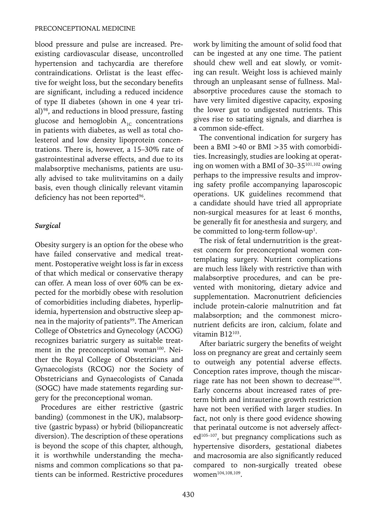blood pressure and pulse are increased. Preexisting cardiovascular disease, uncontrolled hypertension and tachycardia are therefore contraindications. Orlistat is the least effective for weight loss, but the secondary benefits are significant, including a reduced incidence of type II diabetes (shown in one 4 year trial)<sup>98</sup>, and reductions in blood pressure, fasting glucose and hemoglobin  $A_{1c}$  concentrations in patients with diabetes, as well as total cholesterol and low density lipoprotein concentrations. There is, however, a 15–30% rate of gastrointestinal adverse effects, and due to its malabsorptive mechanisms, patients are usually advised to take mulitvitamins on a daily basis, even though clinically relevant vitamin deficiency has not been reported<sup>96</sup>.

## *Surgical*

Obesity surgery is an option for the obese who have failed conservative and medical treatment. Postoperative weight loss is far in excess of that which medical or conservative therapy can offer. A mean loss of over 60% can be expected for the morbidly obese with resolution of comorbidities including diabetes, hyperlipidemia, hypertension and obstructive sleep apnea in the majority of patients<sup>99</sup>. The American College of Obstetrics and Gynecology (ACOG) recognizes bariatric surgery as suitable treatment in the preconceptional woman<sup>100</sup>. Neither the Royal College of Obstetricians and Gynaecologists (RCOG) nor the Society of Obstetricians and Gynaecologists of Canada (SOGC) have made statements regarding surgery for the preconceptional woman.

Procedures are either restrictive (gastric banding) (commonest in the UK), malabsorptive (gastric bypass) or hybrid (biliopancreatic diversion). The description of these operations is beyond the scope of this chapter, although, it is worthwhile understanding the mechanisms and common complications so that patients can be informed. Restrictive procedures work by limiting the amount of solid food that can be ingested at any one time. The patient should chew well and eat slowly, or vomiting can result. Weight loss is achieved mainly through an unpleasant sense of fullness. Malabsorptive procedures cause the stomach to have very limited digestive capacity, exposing the lower gut to undigested nutrients. This gives rise to satiating signals, and diarrhea is a common side-effect.

The conventional indication for surgery has been a BMI >40 or BMI >35 with comorbidities. Increasingly, studies are looking at operating on women with a BMI of 30–35101,102 owing perhaps to the impressive results and improving safety profile accompanying laparoscopic operations. UK guidelines recommend that a candidate should have tried all appropriate non-surgical measures for at least 6 months, be generally fit for anesthesia and surgery, and be committed to long-term follow-up<sup>1</sup>.

The risk of fetal undernutrition is the greatest concern for preconceptional women contemplating surgery. Nutrient complications are much less likely with restrictive than with malabsorptive procedures, and can be prevented with monitoring, dietary advice and supplementation. Macronutrient deficiencies include protein-calorie malnutrition and fat malabsorption; and the commonest micronutrient deficits are iron, calcium, folate and vitamin B12103.

After bariatric surgery the benefits of weight loss on pregnancy are great and certainly seem to outweigh any potential adverse effects. Conception rates improve, though the miscarriage rate has not been shown to decrease<sup>104</sup>. Early concerns about increased rates of preterm birth and intrauterine growth restriction have not been verified with larger studies. In fact, not only is there good evidence showing that perinatal outcome is not adversely affected<sup>105-107</sup>, but pregnancy complications such as hypertensive disorders, gestational diabetes and macrosomia are also significantly reduced compared to non-surgically treated obese women<sup>104,108,109</sup>.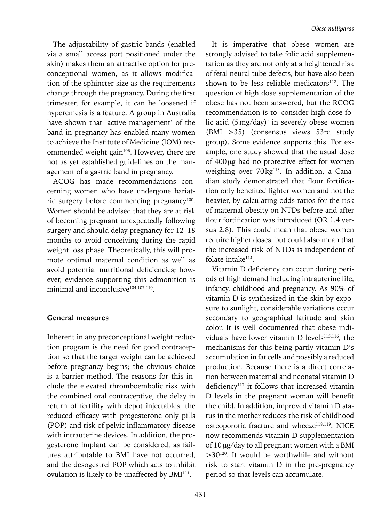The adjustability of gastric bands (enabled via a small access port positioned under the skin) makes them an attractive option for preconceptional women, as it allows modification of the sphincter size as the requirements change through the pregnancy. During the first trimester, for example, it can be loosened if hyperemesis is a feature. A group in Australia have shown that 'active management' of the band in pregnancy has enabled many women to achieve the Institute of Medicine (IOM) recommended weight gain<sup>106</sup>. However, there are not as yet established guidelines on the management of a gastric band in pregnancy.

ACOG has made recommendations concerning women who have undergone bariatric surgery before commencing pregnancy<sup>100</sup>. Women should be advised that they are at risk of becoming pregnant unexpectedly following surgery and should delay pregnancy for 12–18 months to avoid conceiving during the rapid weight loss phase. Theoretically, this will promote optimal maternal condition as well as avoid potential nutritional deficiencies; however, evidence supporting this admonition is minimal and inconclusive<sup>104,107,110</sup>.

#### **General measures**

Inherent in any preconceptional weight reduction program is the need for good contraception so that the target weight can be achieved before pregnancy begins; the obvious choice is a barrier method. The reasons for this include the elevated thromboembolic risk with the combined oral contraceptive, the delay in return of fertility with depot injectables, the reduced efficacy with progesterone only pills (POP) and risk of pelvic inflammatory disease with intrauterine devices. In addition, the progesterone implant can be considered, as failures attributable to BMI have not occurred, and the desogestrel POP which acts to inhibit ovulation is likely to be unaffected by BMI<sup>111</sup>.

It is imperative that obese women are strongly advised to take folic acid supplementation as they are not only at a heightened risk of fetal neural tube defects, but have also been shown to be less reliable medicators<sup>112</sup>. The question of high dose supplementation of the obese has not been answered, but the RCOG recommendation is to 'consider high-dose folic acid (5mg/day)' in severely obese women (BMI >35) (consensus views 53rd study group). Some evidence supports this. For example, one study showed that the usual dose of 400μg had no protective effect for women weighing over 70 kg<sup>113</sup>. In addition, a Canadian study demonstrated that flour fortification only benefited lighter women and not the heavier, by calculating odds ratios for the risk of maternal obesity on NTDs before and after flour fortification was introduced (OR 1.4 versus 2.8). This could mean that obese women require higher doses, but could also mean that the increased risk of NTDs is independent of folate intake<sup>114</sup>.

Vitamin D deficiency can occur during periods of high demand including intrauterine life, infancy, childhood and pregnancy. As 90% of vitamin D is synthesized in the skin by exposure to sunlight, considerable variations occur secondary to geographical latitude and skin color. It is well documented that obese individuals have lower vitamin D levels<sup>115,116</sup>, the mechanisms for this being partly vitamin D's accumulation in fat cells and possibly a reduced production. Because there is a direct correlation between maternal and neonatal vitamin D deficiency<sup>117</sup> it follows that increased vitamin D levels in the pregnant woman will benefit the child. In addition, improved vitamin D status in the mother reduces the risk of childhood osteoporotic fracture and wheeze<sup>118,119</sup>. NICE now recommends vitamin D supplementation of 10μg/day to all pregnant women with a BMI >30120. It would be worthwhile and without risk to start vitamin D in the pre-pregnancy period so that levels can accumulate.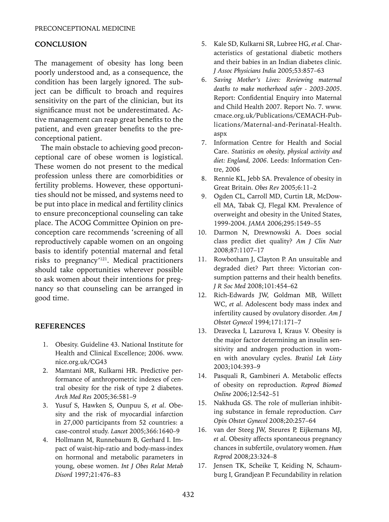# **CONCLUSION**

The management of obesity has long been poorly understood and, as a consequence, the condition has been largely ignored. The subject can be difficult to broach and requires sensitivity on the part of the clinician, but its significance must not be underestimated. Active management can reap great benefits to the patient, and even greater benefits to the preconceptional patient.

The main obstacle to achieving good preconceptional care of obese women is logistical. These women do not present to the medical profession unless there are comorbidities or fertility problems. However, these opportunities should not be missed, and systems need to be put into place in medical and fertility clinics to ensure preconceptional counseling can take place. The ACOG Committee Opinion on preconception care recommends 'screening of all reproductively capable women on an ongoing basis to identify potential maternal and fetal risks to pregnancy'121. Medical practitioners should take opportunities wherever possible to ask women about their intentions for pregnancy so that counseling can be arranged in good time.

# **References**

- 1. Obesity. Guideline 43. National Institute for Health and Clinical Excellence; 2006. www. nice.org.uk/CG43
- 2. Mamtani MR, Kulkarni HR. Predictive performance of anthropometric indexes of central obesity for the risk of type 2 diabetes. *Arch Med Res* 2005;36:581–9
- 3. Yusuf S, Hawken S, Ounpuu S, *et al*. Obesity and the risk of myocardial infarction in 27,000 participants from 52 countries: a case-control study. *Lancet* 2005;366:1640–9
- 4. Hollmann M, Runnebaum B, Gerhard I. Impact of waist-hip-ratio and body-mass-index on hormonal and metabolic parameters in young, obese women. *Int J Obes Relat Metab Disord* 1997;21:476–83
- 5. Kale SD, Kulkarni SR, Lubree HG, *et al*. Characteristics of gestational diabetic mothers and their babies in an Indian diabetes clinic. *J Assoc Physicians India* 2005;53:857–63
- 6. *Saving Mother's Lives: Reviewing maternal deaths to make motherhood safer - 2003-2005*. Report: Confidential Enquiry into Maternal and Child Health 2007. Report No. 7. www. cmace.org.uk/Publications/CEMACH-Publications/Maternal-and-Perinatal-Health. aspx
- 7. Information Centre for Health and Social Care. *Statistics on obesity, physical activity and diet: England, 2006*. Leeds: Information Centre, 2006
- 8. Rennie KL, Jebb SA. Prevalence of obesity in Great Britain. *Obes Rev* 2005;6:11–2
- 9. Ogden CL, Carroll MD, Curtin LR, McDowell MA, Tabak CJ, Flegal KM. Prevalence of overweight and obesity in the United States, 1999-2004. *JAMA* 2006;295:1549–55
- 10. Darmon N, Drewnowski A. Does social class predict diet quality? *Am J Clin Nutr*  2008;87:1107–17
- 11. Rowbotham J, Clayton P. An unsuitable and degraded diet? Part three: Victorian consumption patterns and their health benefits. *J R Soc Med* 2008;101:454–62
- 12. Rich-Edwards JW, Goldman MB, Willett WC, *et al*. Adolescent body mass index and infertility caused by ovulatory disorder. *Am J Obstet Gynecol* 1994;171:171–7
- 13. Dravecka I, Lazurova I, Kraus V. Obesity is the major factor determining an insulin sensitivity and androgen production in women with anovulary cycles. *Bratisl Lek Listy*  2003;104:393–9
- 14. Pasquali R, Gambineri A. Metabolic effects of obesity on reproduction. *Reprod Biomed Online* 2006;12:542–51
- 15. Nakhuda GS. The role of mullerian inhibiting substance in female reproduction. *Curr Opin Obstet Gynecol* 2008;20:257–64
- 16. van der Steeg JW, Steures P, Eijkemans MJ, *et al*. Obesity affects spontaneous pregnancy chances in subfertile, ovulatory women. *Hum Reprod* 2008;23:324–8
- 17. Jensen TK, Scheike T, Keiding N, Schaumburg I, Grandjean P. Fecundability in relation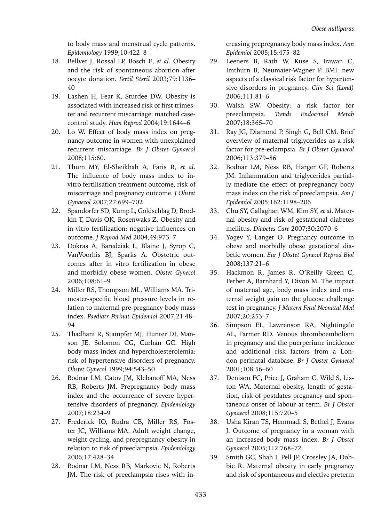to body mass and menstrual cycle patterns. *Epidemiology* 1999;10:422–8

- 18. Bellver J, Rossal LP, Bosch E, *et al*. Obesity and the risk of spontaneous abortion after oocyte donation. *Fertil Steril* 2003;79:1136– 40
- 19. Lashen H, Fear K, Sturdee DW. Obesity is associated with increased risk of first trimester and recurrent miscarriage: matched casecontrol study. *Hum Reprod* 2004;19:1644–6
- 20. Lo W. Effect of body mass index on pregnancy outcome in women with unexplained recurrent miscarriage. *Br J Obstet Gynaecol*  2008;115:60.
- 21. Thum MY, El-Sheikhah A, Faris R, *et al*. The influence of body mass index to invitro fertilisation treatment outcome, risk of miscarriage and pregnancy outcome. *J Obstet Gynaecol* 2007;27:699–702
- 22. Spandorfer SD, Kump L, Goldschlag D, Brodkin T, Davis OK, Rosenwaks Z. Obesity and in vitro fertilization: negative influences on outcome. *J Reprod Med* 2004;49:973–7
- 23. Dokras A, Baredziak L, Blaine J, Syrop C, VanVoorhis BJ, Sparks A. Obstetric outcomes after in vitro fertilization in obese and morbidly obese women. *Obstet Gynecol*  2006;108:61–9
- 24. Miller RS, Thompson ML, Williams MA. Trimester-specific blood pressure levels in relation to maternal pre-pregnancy body mass index. *Paediatr Perinat Epidemiol* 2007;21:48– 94
- 25. Thadhani R, Stampfer MJ, Hunter DJ, Manson JE, Solomon CG, Curhan GC. High body mass index and hypercholesterolemia: risk of hypertensive disorders of pregnancy. *Obstet Gynecol* 1999;94:543–50
- 26. Bodnar LM, Catov JM, Klebanoff MA, Ness RB, Roberts JM. Prepregnancy body mass index and the occurrence of severe hypertensive disorders of pregnancy. *Epidemiology* 2007;18:234–9
- 27. Frederick IO, Rudra CB, Miller RS, Foster JC, Williams MA. Adult weight change, weight cycling, and prepregnancy obesity in relation to risk of preeclampsia. *Epidemiology* 2006;17:428–34
- 28. Bodnar LM, Ness RB, Markovic N, Roberts JM. The risk of preeclampsia rises with in-

creasing prepregnancy body mass index. *Ann Epidemiol* 2005;15:475–82

- 29. Leeners B, Rath W, Kuse S, Irawan C, Imthurn B, Neumaier-Wagner P. BMI: new aspects of a classical risk factor for hypertensive disorders in pregnancy. *Clin Sci (Lond)*  2006;111:81–6
- 30. Walsh SW. Obesity: a risk factor for preeclampsia. *Trends Endocrinol Metab* 2007;18:365–70
- 31. Ray JG, Diamond P, Singh G, Bell CM. Brief overview of maternal triglycerides as a risk factor for pre-eclampsia. *Br J Obstet Gynaecol*  2006;113:379–86
- 32. Bodnar LM, Ness RB, Harger GF, Roberts JM. Inflammation and triglycerides partially mediate the effect of prepregnancy body mass index on the risk of preeclampsia. *Am J Epidemiol* 2005;162:1198–206
- 33. Chu SY, Callaghan WM, Kim SY, *et al*. Maternal obesity and risk of gestational diabetes mellitus. *Diabetes Care* 2007;30:2070–6
- 34. Yogev Y, Langer O. Pregnancy outcome in obese and morbidly obese gestational diabetic women. *Eur J Obstet Gynecol Reprod Biol*  2008;137:21–6
- 35. Hackmon R, James R, O'Reilly Green C, Ferber A, Barnhard Y, Divon M. The impact of maternal age, body mass index and maternal weight gain on the glucose challenge test in pregnancy. *J Matern Fetal Neonatal Med* 2007;20:253–7
- 36. Simpson EL, Lawrenson RA, Nightingale AL, Farmer RD. Venous thromboembolism in pregnancy and the puerperium: incidence and additional risk factors from a London perinatal database. *Br J Obstet Gynaecol*  2001;108:56–60
- 37. Denison FC, Price J, Graham C, Wild S, Liston WA. Maternal obesity, length of gestation, risk of postdates pregnancy and spontaneous onset of labour at term. *Br J Obstet Gynaecol* 2008;115:720–5
- 38. Usha Kiran TS, Hemmadi S, Bethel J, Evans J. Outcome of pregnancy in a woman with an increased body mass index. *Br J Obstet Gynaecol* 2005;112:768–72
- 39. Smith GC, Shah I, Pell JP, Crossley JA, Dobbie R. Maternal obesity in early pregnancy and risk of spontaneous and elective preterm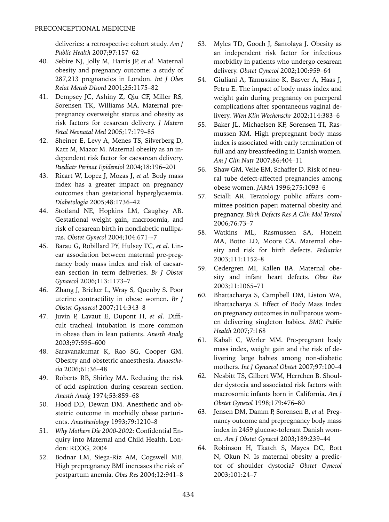deliveries: a retrospective cohort study. *Am J Public Health* 2007;97:157–62

- 40. Sebire NJ, Jolly M, Harris JP, *et al*. Maternal obesity and pregnancy outcome: a study of 287,213 pregnancies in London. *Int J Obes Relat Metab Disord* 2001;25:1175–82
- 41. Dempsey JC, Ashiny Z, Qiu CF, Miller RS, Sorensen TK, Williams MA. Maternal prepregnancy overweight status and obesity as risk factors for cesarean delivery. *J Matern Fetal Neonatal Med* 2005;17:179–85
- 42. Sheiner E, Levy A, Menes TS, Silverberg D, Katz M, Mazor M. Maternal obesity as an independent risk factor for caesarean delivery. *Paediatr Perinat Epidemiol* 2004;18:196–201
- 43. Ricart W, Lopez J, Mozas J, *et al.* Body mass index has a greater impact on pregnancy outcomes than gestational hyperglycaemia. *Diabetologia* 2005;48:1736–42
- 44. Stotland NE, Hopkins LM, Caughey AB. Gestational weight gain, macrosomia, and risk of cesarean birth in nondiabetic nulliparas. *Obstet Gynecol* 2004;104:671–-7
- 45. Barau G, Robillard PY, Hulsey TC, *et al.* Linear association between maternal pre-pregnancy body mass index and risk of caesarean section in term deliveries. *Br J Obstet Gynaecol* 2006;113:1173–7
- 46. Zhang J, Bricker L, Wray S, Quenby S. Poor uterine contractility in obese women. *Br J Obstet Gynaecol* 2007;114:343–8
- 47. Juvin P, Lavaut E, Dupont H, *et al*. Difficult tracheal intubation is more common in obese than in lean patients. *Anesth Analg*  2003;97:595–600
- 48. Saravanakumar K, Rao SG, Cooper GM. Obesity and obstetric anaesthesia. *Anaesthesia* 2006;61:36–48
- 49. Roberts RB, Shirley MA. Reducing the risk of acid aspiration during cesarean section. *Anesth Analg* 1974;53:859–68
- 50. Hood DD, Dewan DM. Anesthetic and obstetric outcome in morbidly obese parturients. *Anesthesiology* 1993;79:1210–8
- 51. *Why Mothers Die 2000-2002*: Confidential Enquiry into Maternal and Child Health. London: RCOG, 2004
- 52. Bodnar LM, Siega-Riz AM, Cogswell ME. High prepregnancy BMI increases the risk of postpartum anemia. *Obes Res* 2004;12:941–8
- 53. Myles TD, Gooch J, Santolaya J. Obesity as an independent risk factor for infectious morbidity in patients who undergo cesarean delivery. *Obstet Gynecol* 2002;100:959–64
- 54. Giuliani A, Tamussino K, Basver A, Haas J, Petru E. The impact of body mass index and weight gain during pregnancy on puerperal complications after spontaneous vaginal delivery. *Wien Klin Wochenschr* 2002;114:383–6
- 55. Baker JL, Michaelsen KF, Sorensen TI, Rasmussen KM. High prepregnant body mass index is associated with early termination of full and any breastfeeding in Danish women. *Am J Clin Nutr* 2007;86:404–11
- 56. Shaw GM, Velie EM, Schaffer D. Risk of neural tube defect-affected pregnancies among obese women. *JAMA* 1996;275:1093–6
- 57. Scialli AR. Teratology public affairs committee position paper: maternal obesity and pregnancy. *Birth Defects Res A Clin Mol Teratol*  2006;76:73–7
- 58. Watkins ML, Rasmussen SA, Honein MA, Botto LD, Moore CA. Maternal obesity and risk for birth defects. *Pediatrics* 2003;111:1152–8
- 59. Cedergren MI, Kallen BA. Maternal obesity and infant heart defects. *Obes Res*  2003;11:1065–71
- 60. Bhattacharya S, Campbell DM, Liston WA, Bhattacharya S. Effect of Body Mass Index on pregnancy outcomes in nulliparous women delivering singleton babies. *BMC Public Health* 2007;7:168
- 61. Kabali C, Werler MM. Pre-pregnant body mass index, weight gain and the risk of delivering large babies among non-diabetic mothers. *Int J Gynaecol Obstet* 2007;97:100–4
- 62. Nesbitt TS, Gilbert WM, Herrchen B. Shoulder dystocia and associated risk factors with macrosomic infants born in California. *Am J Obstet Gynecol* 1998;179:476–80
- 63. Jensen DM, Damm P, Sorensen B, *et al.* Pregnancy outcome and prepregnancy body mass index in 2459 glucose-tolerant Danish women. *Am J Obstet Gynecol* 2003;189:239–44
- 64. Robinson H, Tkatch S, Mayes DC, Bott N, Okun N. Is maternal obesity a predictor of shoulder dystocia? *Obstet Gynecol*  2003;101:24–7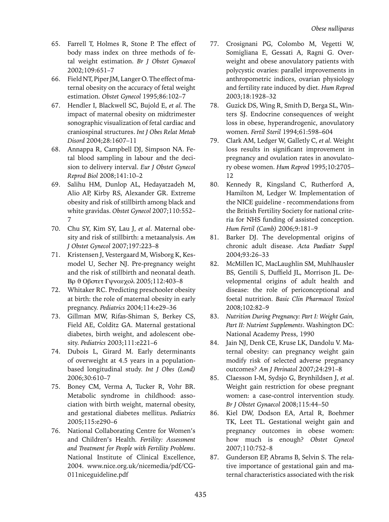- 65. Farrell T, Holmes R, Stone P. The effect of body mass index on three methods of fetal weight estimation. *Br J Obstet Gynaecol*  2002;109:651–7
- 66. Field NT, Piper JM, Langer O. The effect of maternal obesity on the accuracy of fetal weight estimation. *Obstet Gynecol* 1995;86:102–7
- 67. Hendler I, Blackwell SC, Bujold E, *et al.* The impact of maternal obesity on midtrimester sonographic visualization of fetal cardiac and craniospinal structures. *Int J Obes Relat Metab Disord* 2004;28:1607–11
- 68. Annappa R, Campbell DJ, Simpson NA. Fetal blood sampling in labour and the decision to delivery interval. *Eur J Obstet Gynecol Reprod Biol* 2008;141:10–2
- 69. Salihu HM, Dunlop AL, Hedayatzadeh M, Alio AP, Kirby RS, Alexander GR. Extreme obesity and risk of stillbirth among black and white gravidas. *Obstet Gynecol* 2007;110:552– 7
- 70. Chu SY, Kim SY, Lau J, *et al*. Maternal obesity and risk of stillbirth: a metaanalysis. *Am J Obstet Gynecol* 2007;197:223–8
- 71. Kristensen J, Vestergaard M, Wisborg K, Kesmodel U, Secher NJ. Pre-pregnancy weight and the risk of stillbirth and neonatal death. Βρ θ Οβστετ Γψναεχολ 2005;112:403-8
- 72. Whitaker RC. Predicting preschooler obesity at birth: the role of maternal obesity in early pregnancy. *Pediatrics* 2004;114:e29–36
- 73. Gillman MW, Rifas-Shiman S, Berkey CS, Field AE, Colditz GA. Maternal gestational diabetes, birth weight, and adolescent obesity. *Pediatrics* 2003;111:e221–6
- 74. Dubois L, Girard M. Early determinants of overweight at 4.5 years in a populationbased longitudinal study. *Int J Obes (Lond)* 2006;30:610–7
- 75. Boney CM, Verma A, Tucker R, Vohr BR. Metabolic syndrome in childhood: association with birth weight, maternal obesity, and gestational diabetes mellitus. *Pediatrics* 2005;115:e290–6
- 76. National Collaborating Centre for Women's and Children's Health. *Fertility: Assessment and Treatment for People with Fertility Problems*. National Institute of Clinical Excellence, 2004. www.nice.org.uk/nicemedia/pdf/CG-011niceguideline.pdf
- 77. Crosignani PG, Colombo M, Vegetti W, Somigliana E, Gessati A, Ragni G. Overweight and obese anovulatory patients with polycystic ovaries: parallel improvements in anthropometric indices, ovarian physiology and fertility rate induced by diet. *Hum Reprod* 2003;18:1928–32
- 78. Guzick DS, Wing R, Smith D, Berga SL, Winters SJ. Endocrine consequences of weight loss in obese, hyperandrogenic, anovulatory women. *Fertil Steril* 1994;61:598–604
- 79. Clark AM, Ledger W, Galletly C, *et al.* Weight loss results in significant improvement in pregnancy and ovulation rates in anovulatory obese women. *Hum Reprod* 1995;10:2705– 12
- 80. Kennedy R, Kingsland C, Rutherford A, Hamilton M, Ledger W. Implementation of the NICE guideline - recommendations from the British Fertility Society for national criteria for NHS funding of assisted conception. *Hum Fertil (Camb)* 2006;9:181–9
- 81. Barker DJ. The developmental origins of chronic adult disease. *Acta Paediatr Suppl*  2004;93:26–33
- 82. McMillen IC, MacLaughlin SM, Muhlhausler BS, Gentili S, Duffield JL, Morrison JL. Developmental origins of adult health and disease: the role of periconceptional and foetal nutrition. *Basic Clin Pharmacol Toxicol*  2008;102:82–9
- 83. *Nutrition During Pregnancy: Part I: Weight Gain, Part II: Nutrient Supplements*. Washington DC: National Academy Press, 1990
- 84. Jain NJ, Denk CE, Kruse LK, Dandolu V. Maternal obesity: can pregnancy weight gain modify risk of selected adverse pregnancy outcomes? *Am J Perinatol* 2007;24:291–8
- 85. Claesson I-M, Sydsjo G, Brynhildsen J, *et al*. Weight gain restriction for obese pregnant women: a case-control intervention study. *Br J Obstet Gynaecol* 2008;115:44–50
- 86. Kiel DW, Dodson EA, Artal R, Boehmer TK, Leet TL. Gestational weight gain and pregnancy outcomes in obese women: how much is enough? *Obstet Gynecol*  2007;110:752–8
- 87. Gunderson EP, Abrams B, Selvin S. The relative importance of gestational gain and maternal characteristics associated with the risk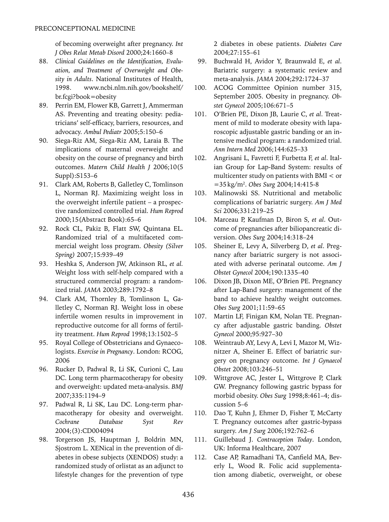of becoming overweight after pregnancy. *Int J Obes Relat Metab Disord* 2000;24:1660–8

- 88. *Clinical Guidelines on the Identification, Evaluation, and Treatment of Overweight and Obesity in Adults*. National Institutes of Health, 1998. www.ncbi.nlm.nih.gov/bookshelf/ br.fcgi?book=obesity
- 89. Perrin EM, Flower KB, Garrett J, Ammerman AS. Preventing and treating obesity: pediatricians' self-efficacy, barriers, resources, and advocacy. *Ambul Pediatr* 2005;5:150–6
- 90. Siega-Riz AM, Siega-Riz AM, Laraia B. The implications of maternal overweight and obesity on the course of pregnancy and birth outcomes. *Matern Child Health J* 2006;10(5 Suppl):S153–6
- 91. Clark AM, Roberts B, Galletley C, Tomlinson L, Norman RJ. Maximizing weight loss in the overweight infertile patient – a prospective randomized controlled trial. *Hum Reprod* 2000;15(Abstract Book):65–6
- 92. Rock CL, Pakiz B, Flatt SW, Quintana EL. Randomized trial of a multifaceted commercial weight loss program. *Obesity (Silver Spring)* 2007;15:939–49
- 93. Heshka S, Anderson JW, Atkinson RL, *et al.*  Weight loss with self-help compared with a structured commercial program: a randomized trial. *JAMA* 2003;289:1792–8
- 94. Clark AM, Thornley B, Tomlinson L, Galletley C, Norman RJ. Weight loss in obese infertile women results in improvement in reproductive outcome for all forms of fertility treatment. *Hum Reprod* 1998;13:1502–5
- 95. Royal College of Obstetricians and Gynaecologists. *Exercise in Pregnancy*. London: RCOG, 2006
- 96. Rucker D, Padwal R, Li SK, Curioni C, Lau DC. Long term pharmacotherapy for obesity and overweight: updated meta-analysis. *BMJ* 2007;335:1194–9
- 97. Padwal R, Li SK, Lau DC. Long-term pharmacotherapy for obesity and overweight. *Cochrane Database Syst Rev* 2004;(3):CD004094
- 98. Torgerson JS, Hauptman J, Boldrin MN, Sjostrom L. XENical in the prevention of diabetes in obese subjects (XENDOS) study: a randomized study of orlistat as an adjunct to lifestyle changes for the prevention of type

2 diabetes in obese patients. *Diabetes Care* 2004;27:155–61

- 99. Buchwald H, Avidor Y, Braunwald E, *et al*. Bariatric surgery: a systematic review and meta-analysis. *JAMA* 2004;292:1724–37
- 100. ACOG Committee Opinion number 315, September 2005. Obesity in pregnancy. *Obstet Gynecol* 2005;106:671–5
- 101. O'Brien PE, Dixon JB, Laurie C, *et al*. Treatment of mild to moderate obesity with laparoscopic adjustable gastric banding or an intensive medical program: a randomized trial. *Ann Intern Med* 2006;144:625–33
- 102. Angrisani L, Favretti F, Furbetta F, *et al*. Italian Group for Lap-Band System: results of multicenter study on patients with BMI < or =35kg/m2 . *Obes Surg* 2004;14:415-8
- 103. Malinowski SS. Nutritional and metabolic complications of bariatric surgery. *Am J Med Sci* 2006;331:219–25
- 104. Marceau P, Kaufman D, Biron S, *et al*. Outcome of pregnancies after biliopancreatic diversion. *Obes Surg* 2004;14:318–24
- 105. Sheiner E, Levy A, Silverberg D, *et al*. Pregnancy after bariatric surgery is not associated with adverse perinatal outcome. *Am J Obstet Gynecol* 2004;190:1335–40
- 106. Dixon JB, Dixon ME, O'Brien PE. Pregnancy after Lap-Band surgery: management of the band to achieve healthy weight outcomes. *Obes Surg* 2001;11:59–65
- 107. Martin LF, Finigan KM, Nolan TE. Pregnancy after adjustable gastric banding. *Obstet Gynecol* 2000;95:927–30
- 108. Weintraub AY, Levy A, Levi I, Mazor M, Wiznitzer A, Sheiner E. Effect of bariatric surgery on pregnancy outcome. *Int J Gynaecol Obstet* 2008;103:246–51
- 109. Wittgrove AC, Jester L, Wittgrove P, Clark GW. Pregnancy following gastric bypass for morbid obesity. *Obes Surg* 1998;8:461–4; discussion 5–6
- 110. Dao T, Kuhn J, Ehmer D, Fisher T, McCarty T. Pregnancy outcomes after gastric-bypass surgery. *Am J Surg* 2006;192:762–6
- 111. Guillebaud J. *Contraception Today*. London, UK: Informa Healthcare, 2007
- 112. Case AP, Ramadhani TA, Canfield MA, Beverly L, Wood R. Folic acid supplementation among diabetic, overweight, or obese